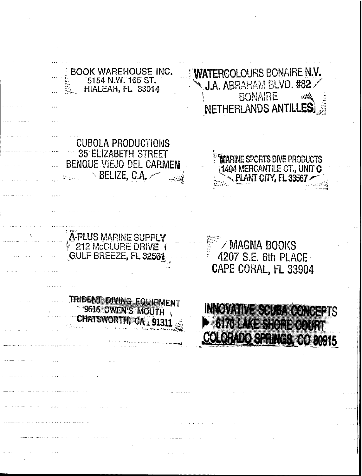**WATERCOLOURS BONAIRE N.V.** BOOK WAREHOUSE INC. 5154 N.W. 165 ST. J.A. ABRAHAM BLVD. #82 HIALEAH, FL 33014 *RONAIRE* أشابه NETHERLANDS ANTILLES CUBOLA PRODUCTIONS , . 35 ELIZABETH STREET **MARINE SPORTS DIVE PRODUCTS** BENQUE VIEJO DEL CARMEN 1404 MERCANTILE CT., UNIT C. ~""" -, BELIZE, G.A. /--.-.:,":''1*'r:;* ....,JjlJ\NT CIW, FL <sup>33567</sup>*r* .. -- ... \_\_..' :!.,~P'~ A-PLUS MARINE SUPPLY **MAGNA BOOKS 212 McCLURE DRIVE 1** GULF BREEZE, FL 32561 4207 S.E. 6th PLACE CAPE CORAL, FL 33904TRIDENT DIVING EQUIPMENT **INNOVATIVE SCUBA CONCEPTS** 9616 OWEN'S MOUTH CHATSWORTH, CA . 9131 6170 LAKE SHORE COURT COLORADO SPRINGS, CO 80915 ....... - ""-~''''''''';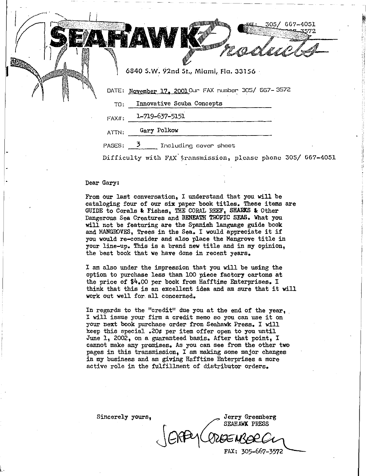DATE: November 17, 2001 Our FAX number 305/ 667- 3572 6840 S.W. 92nd St., Miami, Fla. 33156 -

**mana ay filian**a.

**THE CONSTRUCTION** 

305 /

667-4051

TO: Innovative Scuba Concepts

1-719-637-5151  $FAXII:$ 

ATTN: Gary Polkow

PAGES: 3 Including cover sheet

Difficulty with FAX transmission, please phone 305/ 667-4051

Dear Gary:

From our last conversation, I understand that you will be cataloging four of our six paper book titles. These items are GUIDE to Corals & Fishes, THE CORAL REEF, SHARKS & Other Dangerous Sea Creatures and BENEATH TROPIC SEAS. What you will not be featuring are the Spanish language guide book and MANGROVES, Trees in the Sea. I would appreciate it if you would re-consider and also place the Mangrove title in your line-up. This is a brand new title and in my opinion, the best book that we have done in recent years.

I am also under the impression that you will be using the option to purchase less than <sup>100</sup> piece factory cartons at the price of  $$4,00$  per book from Hafftime Enterprises. I think that this is an excellent idea and am sure that it will work out well for. all concerned.

In regards to the "credit" due you at the end of the year, . <sup>I</sup> will issue your firm <sup>a</sup> credit memo so you can use it on your next book purchase order from Seahawk Press. I will keep this special .20¢ per item offer open to you until June 1, 2002, on a guaranteed basis. After that point, I cannot make any promises. As you can see from the other two pages in this transmission, I am making some major changes in my business and am giving Hafftime Enterprises a more active role in the fulfillment of distributor orders.

Sincerely yours,<br>
FRAHAWK PRESS SEAHAWK PRESS .~ - . FAX: 305-667-3572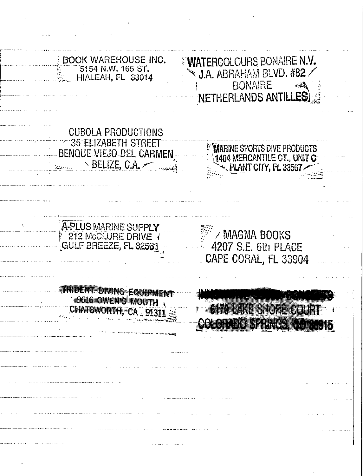**WATERCOLOURS BONAIRE N.V. BOOK WAREHOUSE INC.** 5154 N.W. 165 ST.  $\cdot$  J.A. ABRAHAM BLVD. #82 HIALEAH, FL 33014 **BONAIRE** 知義 **NETHERLANDS ANTILI** LES **CUBOLA PRODUCTIONS** 35 ELIZABETH STREET **MARINE SPORTS DIVE PRODUCTS BENQUE VIEJO DEL CARMEN** 1404 MERCANTILE CT., UNIT C BELIZE, C.A. PLANT CITY, FL 33567 A-PLUS MARINE SUPPLY / MAGNA BOOKS **GULF BREEZE, FL 32561** 4207 S.E. 6th PLACE CAPE CORAL, FL 33904 TRIDENT DIVING EQUIPMENT 49616 OWEN'S MOUTH 6170 LAKE SHORE COURT CHATSWORTH, CA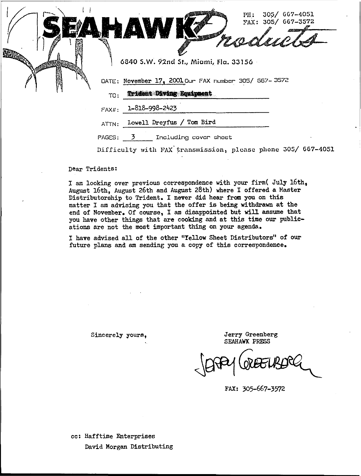

PAGES: <u>3</u>

Difficulty with FAX transmission, please phone 305/ 667-4051

Dear Tridents:

I *am* looking over previous correspondence with your firm( July 16th, August 16th, August 26th and August 28th) where I offered a Master Distributorship to Trident. I never did hear from you on this matter <sup>I</sup> am advising you that the offer is being withdrawn at the end of November. Of course, I *am* disappointed but will assume that you have other things that are cooking and at this time our publications are not the most important thing on your agenda.

<sup>I</sup> have advised all of the other "YellOW Sheet Distributors" of our future plans and am sending you a copy of this correspondence.

Sincerely yours,

Jerry Greenberg SEAHAWK PRESS

FAX: 305-667-3572

cc: Hafftime Enterprises David Morgan Distributing